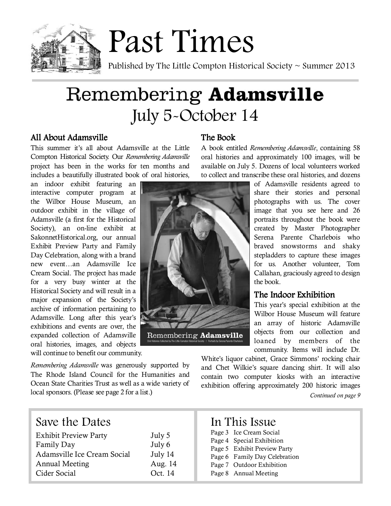

# Remembering Adamsville July 5-October 14

Remembering Adamsville

## All About Adamsville

This summer it's all about Adamsville at the Little Compton Historical Society. Our Remembering Adamsville project has been in the works for ten months and includes a beautifully illustrated book of oral histories,

an indoor exhibit featuring an interactive computer program at the Wilbor House Museum, an outdoor exhibit in the village of Adamsville (a first for the Historical Society), an on-line exhibit at SakonnetHistorical.org, our annual Exhibit Preview Party and Family Day Celebration, along with a brand new event…an Adamsville Ice Cream Social. The project has made for a very busy winter at the Historical Society and will result in a major expansion of the Society's archive of information pertaining to Adamsville. Long after this year's exhibitions and events are over, the expanded collection of Adamsville oral histories, images, and objects will continue to benefit our community.

Remembering Adamsville was generously supported by The Rhode Island Council for the Humanities and Ocean State Charities Trust as well as a wide variety of local sponsors. (Please see page 2 for a list.)

### The Book

A book entitled Remembering Adamsville, containing 58 oral histories and approximately 100 images, will be available on July 5. Dozens of local volunteers worked to collect and transcribe these oral histories, and dozens

> of Adamsville residents agreed to share their stories and personal photographs with us. The cover image that you see here and 26 portraits throughout the book were created by Master Photographer Serena Parente Charlebois who braved snowstorms and shaky stepladders to capture these images for us. Another volunteer, Tom Callahan, graciously agreed to design the book.

## The Indoor Exhibition

This year's special exhibition at the Wilbor House Museum will feature an array of historic Adamsville objects from our collection and loaned by members of the community. Items will include Dr.

White's liquor cabinet, Grace Simmons' rocking chair and Chet Wilkie's square dancing shirt. It will also contain two computer kiosks with an interactive exhibition offering approximately 200 historic images

Continued on page 9

| Save the Dates<br><b>Exhibit Preview Party</b><br>Family Day<br>Adamsville Ice Cream Social<br><b>Annual Meeting</b><br>Cider Social | July 5<br>July 6<br>July 14<br>Aug. 14<br>Oct. 14 | In This Issue<br>Page 3 Ice Cream Social<br>Page 4 Special Exhibition<br>Page 5 Exhibit Preview Party<br>Page 6 Family Day Celebration<br>Page 7 Outdoor Exhibition<br>Page 8 Annual Meeting |
|--------------------------------------------------------------------------------------------------------------------------------------|---------------------------------------------------|----------------------------------------------------------------------------------------------------------------------------------------------------------------------------------------------|
|--------------------------------------------------------------------------------------------------------------------------------------|---------------------------------------------------|----------------------------------------------------------------------------------------------------------------------------------------------------------------------------------------------|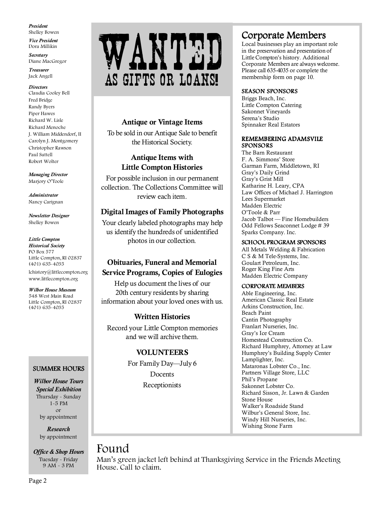President Shelley Bowen

Vice President Dora Millikin

**Secretary** Diane MacGregor

Treasurer Jack Angell

**Directors** 

Claudia Cooley Bell Fred Bridge Randy Byers Piper Hawes Richard W. Lisle Richard Menoche J. William Middendorf, II Carolyn J. Montgomery Christopher Rawson Paul Suttell Robert Wolter

Managing Director Marjory O'Toole

Administrator Nancy Carignan

Newsletter Designer Shelley Bowen

#### Little Compton

Historical Society PO Box 577 Little Compton, RI 02837 (401) 635-4035 lchistory@littlecompton.org www.littlecompton.org

Wilbor House Museum 548 West Main Road Little Compton, RI 02837

(401) 635-4035

#### SUMMER HOURS

Wilbor House Tours Special Exhibition Thursday - Sunday 1-5 PM or by appointment

> Research by appointment

Office & Shop Hours Tuesday - Friday 9 AM - 3 PM



### Antique or Vintage Items

To be sold in our Antique Sale to benefit the Historical Society.

### Antique Items with Little Compton Histories

For possible inclusion in our permanent collection. The Collections Committee will review each item.

### Digital Images of Family Photographs

Your clearly labeled photographs may help us identify the hundreds of unidentified photos in our collection.

## Obituaries, Funeral and Memorial Service Programs, Copies of Eulogies

Help us document the lives of our 20th century residents by sharing information about your loved ones with us.

### Written Histories

Record your Little Compton memories and we will archive them.

### VOLUNTEERS

For Family Day—July 6 Docents Receptionists

# Corporate Members

Local businesses play an important role in the preservation and presentation of Little Compton's history. Additional Corporate Members are always welcome. Please call 635-4035 or complete the membership form on page 10.

### SEASON SPONSORS

Briggs Beach, Inc. Little Compton Catering Sakonnet Vineyards Serena's Studio Spinnaker Real Estators

#### REMEMBERING ADAMSVILE **SPONSORS**

The Barn Restaurant F. A. Simmons' Store Garman Farm, Middletown, RI Gray's Daily Grind Gray's Grist Mill Katharine H. Leary, CPA Law Offices of Michael J. Harrington Lees Supermarket Madden Electric O'Toole & Parr Jacob Talbot — Fine Homebuilders Odd Fellows Seaconnet Lodge # 39 Sparks Company. Inc.

#### SCHOOL PROGRAM SPONSORS

All Metals Welding & Fabrication C S & M Tele-Systems, Inc. Goulart Petroleum, Inc. Roger King Fine Arts Madden Electric Company

#### CORPORATE MEMBERS

Able Engineering, Inc. American Classic Real Estate Arkins Construction, Inc. Beach Paint Cantin Photography Franlart Nurseries, Inc. Gray's Ice Cream Homestead Construction Co. Richard Humphrey, Attorney at Law Humphrey's Building Supply Center Lamplighter, Inc. Mataronas Lobster Co., Inc. Partners Village Store, LLC Phil's Propane Sakonnet Lobster Co. Richard Sisson, Jr. Lawn & Garden Stone House Walker's Roadside Stand Wilbur's General Store, Inc. Windy Hill Nurseries, Inc. Wishing Stone Farm

## Found

Man's green jacket left behind at Thanksgiving Service in the Friends Meeting House. Call to claim.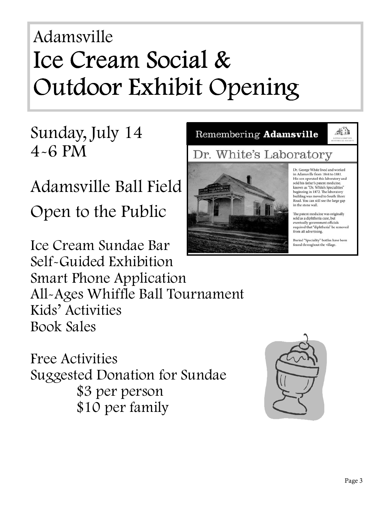# Adamsville Ice Cream Social & Outdoor Exhibit Opening

# Sunday, July 14 4-6 PM

Adamsville Ball Field Open to the Public

Ice Cream Sundae Bar Self-Guided Exhibition Smart Phone Application All-Ages Whiffle Ball Tournament Kids' Activities Book Sales

Free Activities Suggested Donation for Sundae \$3 per person \$10 per family



Dr. George White lived and worked in Adamsville from 1844 to 1881. His son operated this laboratory and sold his father's patent medicine. known as "Dr. White's Specialities" beginning in 1872. The laboratory building was moved to South Shore Road. You can still see the large gap in the stone wall.

Remembering Adamsville

Dr. White's Laboratory

為出

The patent medicine was originally sold as a diphtheria cure, but eventually government officials required that "diphtheria" be removed from all advertising.

Buried "Speciality" bottles have been found throughout the village.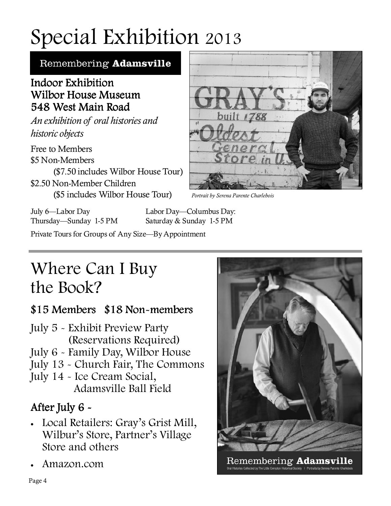# Special Exhibition 2013

Remembering Adamsville

# Indoor Exhibition Wilbor House Museum 548 West Main Road

I

ι

An exhibition of oral histories and historic objects

Free to Members \$5 Non-Members (\$7.50 includes Wilbor House Tour) \$2.50 Non-Member Children (\$5 includes Wilbor House Tour)



Portrait by Serena Parente Charlebois

July 6—Labor Day Labor Day—Columbus Day:

Thursday—Sunday 1-5 PM Saturday & Sunday 1-5 PM

Private Tours for Groups of Any Size—By Appointment

# Where Can I Buy the Book?

# $$15$  Members  $$18$  Non-members

- July 5 Exhibit Preview Party (Reservations Required)
- July 6 Family Day, Wilbor House
- July 13 Church Fair, The Commons
- July 14 Ice Cream Social, Adamsville Ball Field

# After July  $6 -$

- Local Retailers: Gray's Grist Mill, Wilbur's Store, Partner's Village Store and others
- Amazon.com



Remembering Adamsv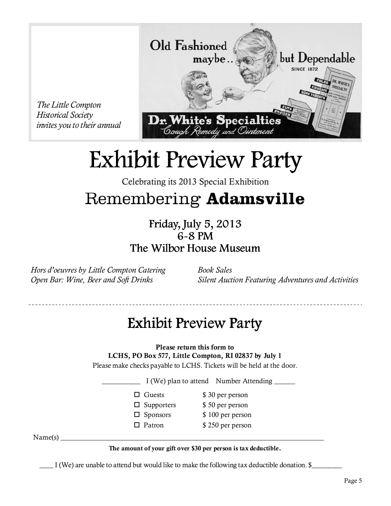

# Exhibit Preview Party

Celebrating its 2013 Special Exhibition

# Remembering Adamsville

Friday, July 5, 2013 6-8 PM The Wilbor House Museum

Hors d'oeuvres by Little Compton Catering Open Bar: Wine, Beer and Soft Drinks

The Little Compton Historical Society

> Book Sales Silent Auction Featuring Adventures and Activities

# Exhibit Preview Party

Please return this form to

LCHS, PO Box 577, Little Compton, RI 02837 by July 1

Please make checks payable to LCHS. Tickets will be held at the door.

I (We) plan to attend Number Attending \_\_\_\_\_\_

- - $\Box$  Guests  $\$\,30\,\mathrm{per\,person}$
	- $\Box$  Supporters  $\$\,50\,\mathrm{per\,person}$
	- $\Box$  Sponsors  $\$$  100 per person
	- $\Box$  Patron  $$ 250$  per person

Name(s) \_\_\_\_\_\_\_\_\_\_\_\_\_\_\_\_\_\_\_\_\_\_\_\_\_\_\_\_\_\_\_\_\_\_\_\_\_\_\_\_\_\_\_\_\_\_\_\_\_\_\_\_\_\_\_\_\_\_\_\_\_\_\_\_\_\_\_\_\_\_\_\_\_\_\_

### The amount of your gift over \$30 per person is tax deductible.

I (We) are unable to attend but would like to make the following tax deductible donation. \$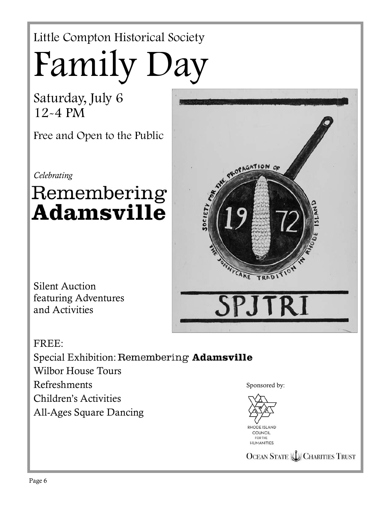# Little Compton Historical Society Family Day

Saturday, July 6 12-4 PM

Free and Open to the Public

Celebrating

# Remembering **Adamsville**

Silent Auction featuring Adventures and Activities



RHODE ISLAND COUNCIL FOR THE HUMANITIES

PROPAGATION OF

**OCEAN STATE LU CHARITIES TRUST**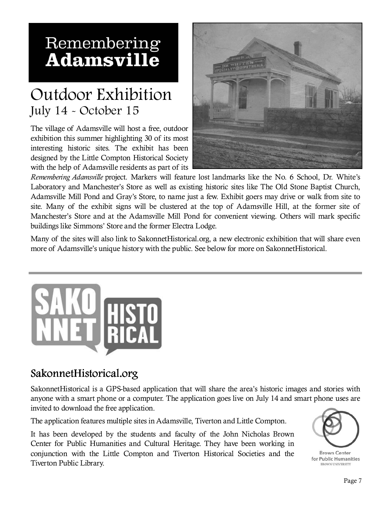# Remembering **Adamsville**

# Outdoor Exhibition July 14 - October 15

The village of Adamsville will host a free, outdoor exhibition this summer highlighting 30 of its most interesting historic sites. The exhibit has been designed by the Little Compton Historical Society with the help of Adamsville residents as part of its



Remembering Adamsville project. Markers will feature lost landmarks like the No. 6 School, Dr. White's Laboratory and Manchester's Store as well as existing historic sites like The Old Stone Baptist Church, Adamsville Mill Pond and Gray's Store, to name just a few. Exhibit goers may drive or walk from site to site. Many of the exhibit signs will be clustered at the top of Adamsville Hill, at the former site of Manchester's Store and at the Adamsville Mill Pond for convenient viewing. Others will mark specific buildings like Simmons' Store and the former Electra Lodge.

Many of the sites will also link to SakonnetHistorical.org, a new electronic exhibition that will share even more of Adamsville's unique history with the public. See below for more on SakonnetHistorical.



# SakonnetHistorical.org

SakonnetHistorical is a GPS-based application that will share the area's historic images and stories with anyone with a smart phone or a computer. The application goes live on July 14 and smart phone uses are invited to download the free application.

The application features multiple sites in Adamsville, Tiverton and Little Compton.

It has been developed by the students and faculty of the John Nicholas Brown Center for Public Humanities and Cultural Heritage. They have been working in conjunction with the Little Compton and Tiverton Historical Societies and the Tiverton Public Library.



**Brown Center** for Public Humanities **BROWN UNIVERSITY**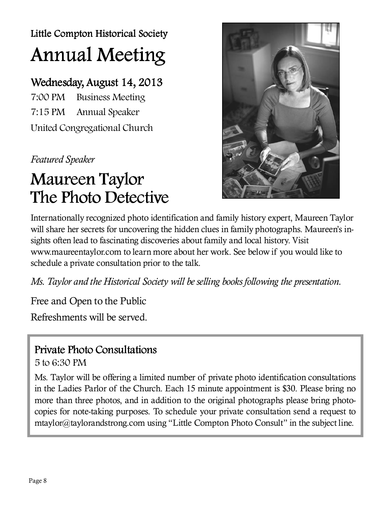Little Compton Historical Society Annual Meeting

# Wednesday, August 14, 2013

7:00 PM Business Meeting 7:15 PM Annual Speaker United Congregational Church

Featured Speaker

# Maureen Taylor The Photo Detective



Internationally recognized photo identification and family history expert, Maureen Taylor will share her secrets for uncovering the hidden clues in family photographs. Maureen's insights often lead to fascinating discoveries about family and local history. Visit www.maureentaylor.com to learn more about her work. See below if you would like to schedule a private consultation prior to the talk.

Ms. Taylor and the Historical Society will be selling books following the presentation.

Free and Open to the Public

Refreshments will be served.

# Private Photo Consultations

5 to 6:30 PM

Ms. Taylor will be offering a limited number of private photo identification consultations in the Ladies Parlor of the Church. Each 15 minute appointment is \$30. Please bring no more than three photos, and in addition to the original photographs please bring photocopies for note-taking purposes. To schedule your private consultation send a request to mtaylor@taylorandstrong.com using "Little Compton Photo Consult" in the subject line.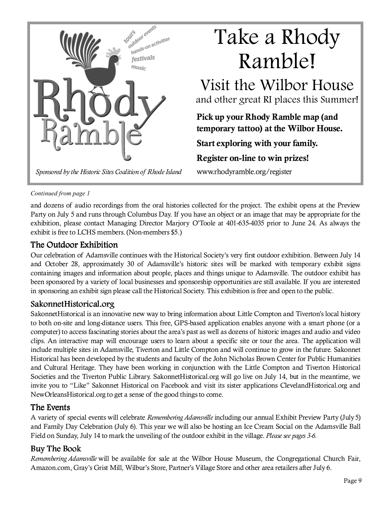

### Continued from page 1

and dozens of audio recordings from the oral histories collected for the project. The exhibit opens at the Preview Party on July 5 and runs through Columbus Day. If you have an object or an image that may be appropriate for the exhibition, please contact Managing Director Marjory O'Toole at 401-635-4035 prior to June 24. As always the exhibit is free to LCHS members. (Non-members \$5.)

## The Outdoor Exhibition

Our celebration of Adamsville continues with the Historical Society's very first outdoor exhibition. Between July 14 and October 28, approximately 30 of Adamsville's historic sites will be marked with temporary exhibit signs containing images and information about people, places and things unique to Adamsville. The outdoor exhibit has been sponsored by a variety of local businesses and sponsorship opportunities are still available. If you are interested in sponsoring an exhibit sign please call the Historical Society. This exhibition is free and open to the public.

## SakonnetHistorical.org

SakonnetHistorical is an innovative new way to bring information about Little Compton and Tiverton's local history to both on-site and long-distance users. This free, GPS-based application enables anyone with a smart phone (or a computer) to access fascinating stories about the area's past as well as dozens of historic images and audio and video clips. An interactive map will encourage users to learn about a specific site or tour the area. The application will include multiple sites in Adamsville, Tiverton and Little Compton and will continue to grow in the future. Sakonnet Historical has been developed by the students and faculty of the John Nicholas Brown Center for Public Humanities and Cultural Heritage. They have been working in conjunction with the Little Compton and Tiverton Historical Societies and the Tiverton Public Library. SakonnetHistorical.org will go live on July 14, but in the meantime, we invite you to "Like" Sakonnet Historical on Facebook and visit its sister applications ClevelandHistorical.org and NewOrleansHistorical.org to get a sense of the good things to come.

## The Events

A variety of special events will celebrate Remembering Adamsville including our annual Exhibit Preview Party (July 5) and Family Day Celebration (July 6). This year we will also be hosting an Ice Cream Social on the Adamsville Ball Field on Sunday, July 14 to mark the unveiling of the outdoor exhibit in the village. Please see pages 3-6.

## Buy The Book

Remembering Adamsville will be available for sale at the Wilbor House Museum, the Congregational Church Fair, Amazon.com, Gray's Grist Mill, Wilbur's Store, Partner's Village Store and other area retailers after July 6.